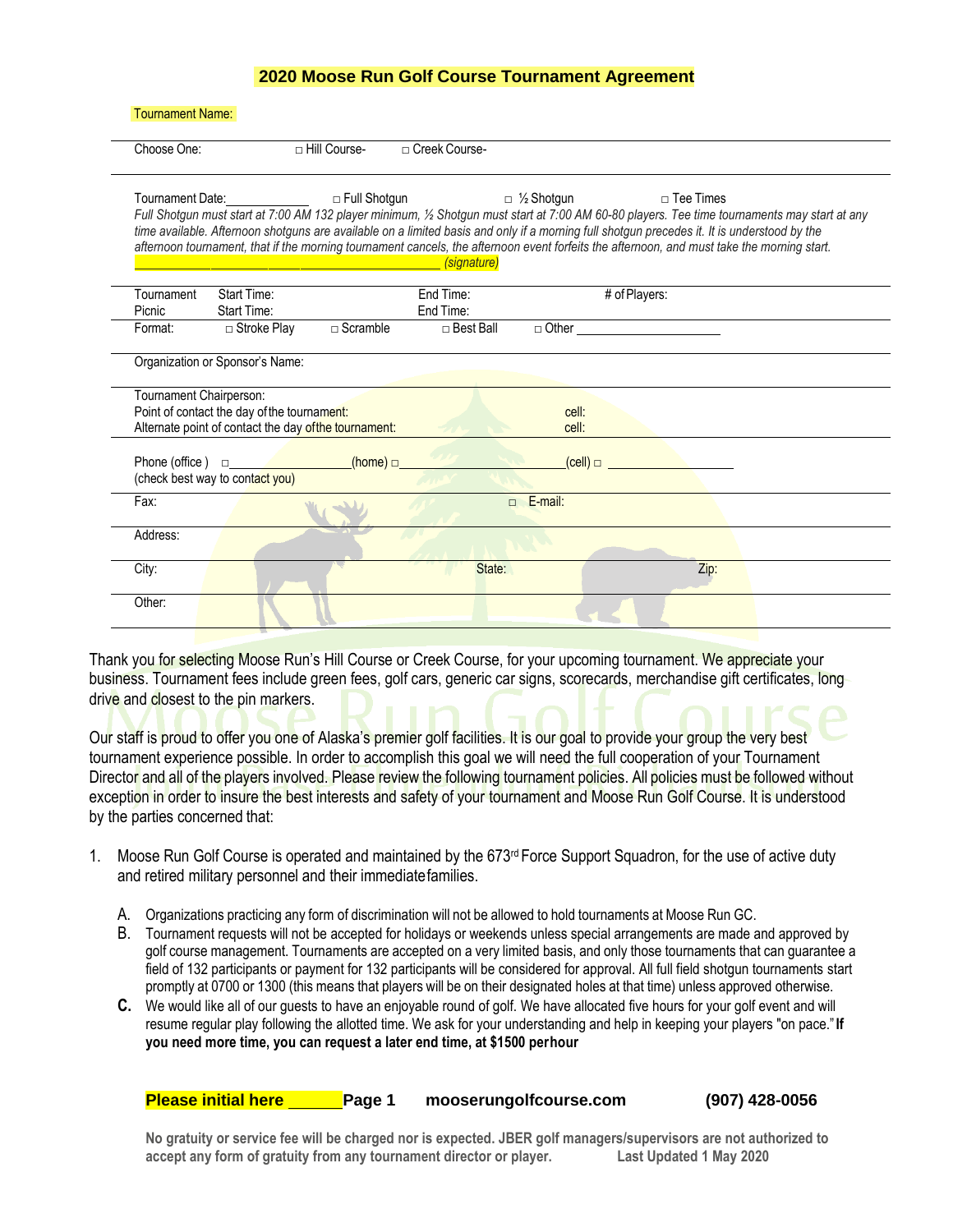| Choose One:             |                                                                                                                                         | □ Hill Course-             | □ Creek Course-    |                                                                                                                                                                                                                                                                                                                 |                     |                                                                                                                                               |
|-------------------------|-----------------------------------------------------------------------------------------------------------------------------------------|----------------------------|--------------------|-----------------------------------------------------------------------------------------------------------------------------------------------------------------------------------------------------------------------------------------------------------------------------------------------------------------|---------------------|-----------------------------------------------------------------------------------------------------------------------------------------------|
|                         | Tournament Date: North Contractor                                                                                                       | $\Box$ Full Shotgun        | <i>(signature)</i> | $\Box$ 1/2 Shotgun<br>time available. Afternoon shotguns are available on a limited basis and only if a morning full shotgun precedes it. It is understood by the<br>afternoon tournament, that if the morning tournament cancels, the afternoon event forfeits the afternoon, and must take the morning start. | $\Box$ Tee Times    | Full Shotgun must start at 7:00 AM 132 player minimum, 1/2 Shotgun must start at 7:00 AM 60-80 players. Tee time tournaments may start at any |
| Tournament              | Start Time:                                                                                                                             |                            | End Time:          |                                                                                                                                                                                                                                                                                                                 | # of Players:       |                                                                                                                                               |
| Picnic                  | Start Time:                                                                                                                             |                            | End Time:          |                                                                                                                                                                                                                                                                                                                 |                     |                                                                                                                                               |
| Format:                 | □ Stroke Play                                                                                                                           | $\overline{\Box}$ Scramble | $\Box$ Best Ball   |                                                                                                                                                                                                                                                                                                                 | $\Box$ Other $\Box$ |                                                                                                                                               |
| Tournament Chairperson: | Organization or Sponsor's Name:<br>Point of contact the day of the tournament:<br>Alternate point of contact the day of the tournament: |                            |                    | cell:<br>cell:                                                                                                                                                                                                                                                                                                  |                     |                                                                                                                                               |
| Phone (office)          | $\Box$<br>(check best way to contact you)                                                                                               | (home)                     |                    | $(cell)$ $\Box$                                                                                                                                                                                                                                                                                                 |                     |                                                                                                                                               |
| Fax:                    |                                                                                                                                         |                            |                    | $\Box$ E-mail:                                                                                                                                                                                                                                                                                                  |                     |                                                                                                                                               |
| Address:                |                                                                                                                                         |                            |                    |                                                                                                                                                                                                                                                                                                                 |                     |                                                                                                                                               |
| City:                   |                                                                                                                                         |                            | State:             |                                                                                                                                                                                                                                                                                                                 | Zip:                |                                                                                                                                               |
|                         |                                                                                                                                         |                            |                    |                                                                                                                                                                                                                                                                                                                 |                     |                                                                                                                                               |

Thank you for selecting Moose Run's Hill Course or Creek Course, for your upcoming tournament. We appreciate your business. Tournament fees include green fees, golf cars, generic car signs, scorecards, merchandise gift certificates, long drive and closest to the pin markers.

Our staff is proud to offer you one of Alaska's premier golf facilities. It is our goal to provide your group the very best tournament experience possible. In order to accomplish this goal we will need the full cooperation of your Tournament Director and all of the players involved. Please review the following tournament policies. All policies must be followed without exception in order to insure the best interests and safety of your tournament and Moose Run Golf Course. It is understood by the parties concerned that:

- 1. Moose Run Golf Course is operated and maintained by the 673<sup>rd</sup> Force Support Squadron, for the use of active duty and retired military personnel and their immediatefamilies.
	- A. Organizations practicing any form of discrimination will not be allowed to hold tournaments at Moose Run GC.
	- B. Tournament requests will not be accepted for holidays or weekends unless special arrangements are made and approved by golf course management. Tournaments are accepted on a very limited basis, and only those tournaments that can guarantee a field of 132 participants or payment for 132 participants will be considered for approval. All full field shotgun tournaments start promptly at 0700 or 1300 (this means that players will be on their designated holes at that time) unless approved otherwise.
	- **C.** We would like all of our guests to have an enjoyable round of golf. We have allocated five hours for your golf event and will resume regular play following the allotted time. We ask for your understanding and help in keeping your players "on pace."**If you need more time, you can request a later end time, at \$1500 perhour**

**Please initial here Page 1 mooserungolfcourse.com (907) 428-0056**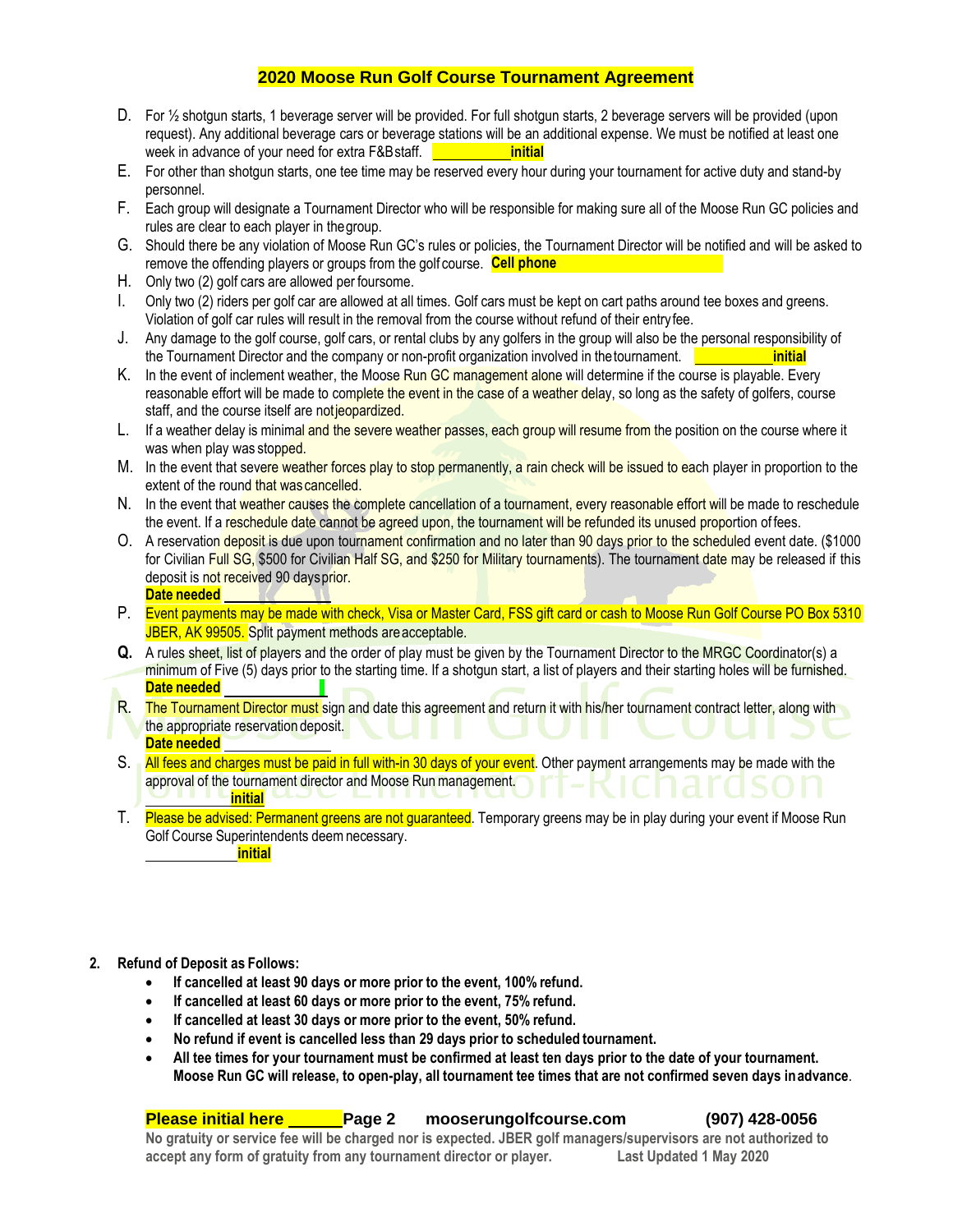- **initial** D. For  $\frac{1}{2}$  shotgun starts, 1 beverage server will be provided. For full shotgun starts, 2 beverage servers will be provided (upon request). Any additional beverage cars or beverage stations will be an additional expense. We must be notified at least one week in advance of your need for extra F&Bstaff.
- E. For other than shotgun starts, one tee time may be reserved every hour during your tournament for active duty and stand-by personnel.
- F. Each group will designate a Tournament Director who will be responsible for making sure all of the Moose Run GC policies and rules are clear to each player in thegroup.
- remove the offending players or groups from the golf course. Cell phone G. Should there be any violation of Moose Run GC's rules or policies, the Tournament Director will be notified and will be asked to
- H. Only two (2) golf cars are allowed per foursome.
- I. Only two (2) riders per golf car are allowed at all times. Golf cars must be kept on cart paths around tee boxes and greens. Violation of golf car rules will result in the removal from the course without refund of their entryfee.
- **initial** J. Any damage to the golf course, golf cars, or rental clubs by any golfers in the group will also be the personal responsibility of the Tournament Director and the company or non-profit organization involved in thetournament.
- K. In the event of inclement weather, the Moose Run GC management alone will determine if the course is playable. Every reasonable effort will be made to complete the event in the case of a weather delay, so long as the safety of golfers, course staff, and the course itself are notjeopardized.
- L. If a weather delay is minimal and the severe weather passes, each group will resume from the position on the course where it was when play was stopped.
- M. In the event that severe weather forces play to stop permanently, a rain check will be issued to each player in proportion to the extent of the round that was cancelled.
- N. In the event that weather causes the complete cancellation of a tournament, every reasonable effort will be made to reschedule the event. If a reschedule date cannot be agreed upon, the tournament will be refunded its unused proportion of fees.
- O. A reservation deposit is due upon tournament confirmation and no later than 90 days prior to the scheduled event date. (\$1000 for Civilian Full SG, \$500 for Civilian Half SG, and \$250 for Military tournaments). The tournament date may be released if this deposit is not received 90 days prior. **Date needed**
- P. Event payments may be made with check, Visa or Master Card, FSS gift card or cash to Moose Run Golf Course PO Box 5310 JBER, AK 99505. Split payment methods are acceptable.
- **Q.** A rules sheet, list of players and the order of play must be given by the Tournament Director to the MRGC Coordinator(s) a minimum of Five (5) days prior to the starting time. If a shotgun start, a list of players and their starting holes will be furnished. **Date needed**
- R. The Tournament Director must sign and date this agreement and return it with his/her tournament contract letter, along with the appropriate reservation deposit. **Date needed**
- S. All fees and charges must be paid in full with-in 30 days of your event. Other payment arrangements may be made with the approval of the tournament director and Moose Runmanagement. **initial**
- T. Please be advised: Permanent greens are not guaranteed. Temporary greens may be in play during your event if Moose Run Golf Course Superintendents deemnecessary. **initial**
- **2. Refund of Deposit as Follows:**
	- **If cancelled at least 90 days or more prior to the event, 100% refund.**
	- **If cancelled at least 60 days or more prior to the event, 75% refund.**
	- **If cancelled at least 30 days or more prior to the event, 50% refund.**
	- **No refund if event is cancelled less than 29 days prior to scheduled tournament.**
	- **All tee times for your tournament must be confirmed at least ten days prior to the date of your tournament.**  Moose Run GC will release, to open-play, all tournament tee times that are not confirmed seven days inadvance.

**Please initial here Page 2 mooserungolfcourse.com (907) 428-0056**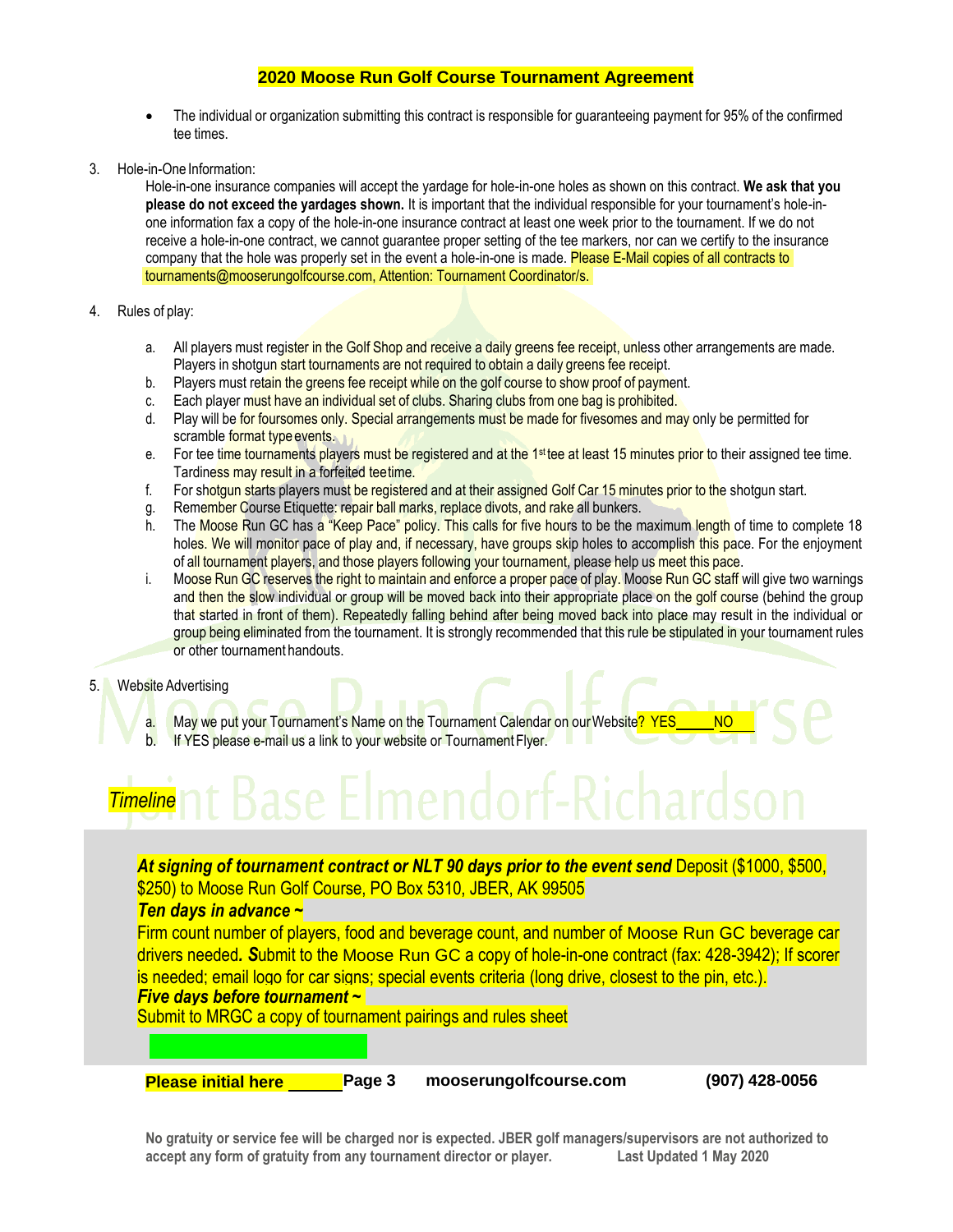- The individual or organization submitting this contract is responsible for guaranteeing payment for 95% of the confirmed tee times.
- 3. Hole-in-One Information:

Hole-in-one insurance companies will accept the yardage for hole-in-one holes as shown on this contract. **We ask that you please do not exceed the yardages shown.** It is important that the individual responsible for your tournament's hole-inone information fax a copy of the hole-in-one insurance contract at least one week prior to the tournament. If we do not receive a hole-in-one contract, we cannot guarantee proper setting of the tee markers, nor can we certify to the insurance company that the hole was properly set in the event a hole-in-one is made. Please E-Mail copies of all contracts to tournaments@mooserungolfcourse.com, Attention: Tournament Coordinator/s.

- 4. Rules of play:
	- a. All players must register in the Golf Shop and receive a daily greens fee receipt, unless other arrangements are made. Players in shotgun start tournaments are not required to obtain a daily greens fee receipt.
	- b. Players must retain the greens fee receipt while on the golf course to show proof of payment.
	- c. Each player must have an individual set of clubs. Sharing clubs from one bag is prohibited.<br>d. Play will be for foursomes only. Special arrangements must be made for fivesomes and ma
	- Play will be for foursomes only. Special arrangements must be made for fivesomes and may only be permitted for scramble format type events.
	- e. For tee time tournaments players must be registered and at the 1<sup>st</sup> tee at least 15 minutes prior to their assigned tee time. Tardiness may result in a forfeited teetime.
	- f. For shotgun starts players must be registered and at their assigned Golf Car 15 minutes prior to the shotgun start.
	- g. Remember Course Etiquette: repair ball marks, replace divots, and rake all bunkers.
	- h. The Moose Run GC has a "Keep Pace" policy. This calls for five hours to be the maximum length of time to complete 18 holes. We will monitor pace of play and, if necessary, have groups skip holes to accomplish this pace. For the enjoyment of all tournament players, and those players following your tournament, please help us meet this pace.
	- i. Moose Run GC reserves the right to maintain and enforce a proper pace of play. Moose Run GC staff will give two warnings and then the slow individual or group will be moved back into their appropriate place on the golf course (behind the group that started in front of them). Repeatedly falling behind after being moved back into place may result in the individual or group being eliminated from the tournament. It is strongly recommended that this rule be stipulated in your tournament rules or other tournament handouts.
- 5. Website Advertising
	- a. May we put your Tournament's Name on the Tournament Calendar on our Website? YES NO
	- b. If YES please e-mail us a link to your website or Tournament Flyer.

## **Base Elmendorf-Richards** *Timeline*

*At signing of tournament contract or NLT 90 days prior to the event send* Deposit (\$1000, \$500, \$250) to Moose Run Golf Course, PO Box 5310, JBER, AK 99505

## *Ten days in advance* **~**

Firm count number of players, food and beverage count, and number of Moose Run GC beverage car drivers needed*. S*ubmit to the Moose Run GC a copy of hole-in-one contract (fax: 428-3942); If scorer is needed; email logo for car signs; special events criteria (long drive, closest to the pin, etc.). *Five days before tournament* **~** 

Submit to MRGC a copy of tournament pairings and rules sheet

**Please initial here**

**Page 3 mooserungolfcourse.com (907) 428-0056**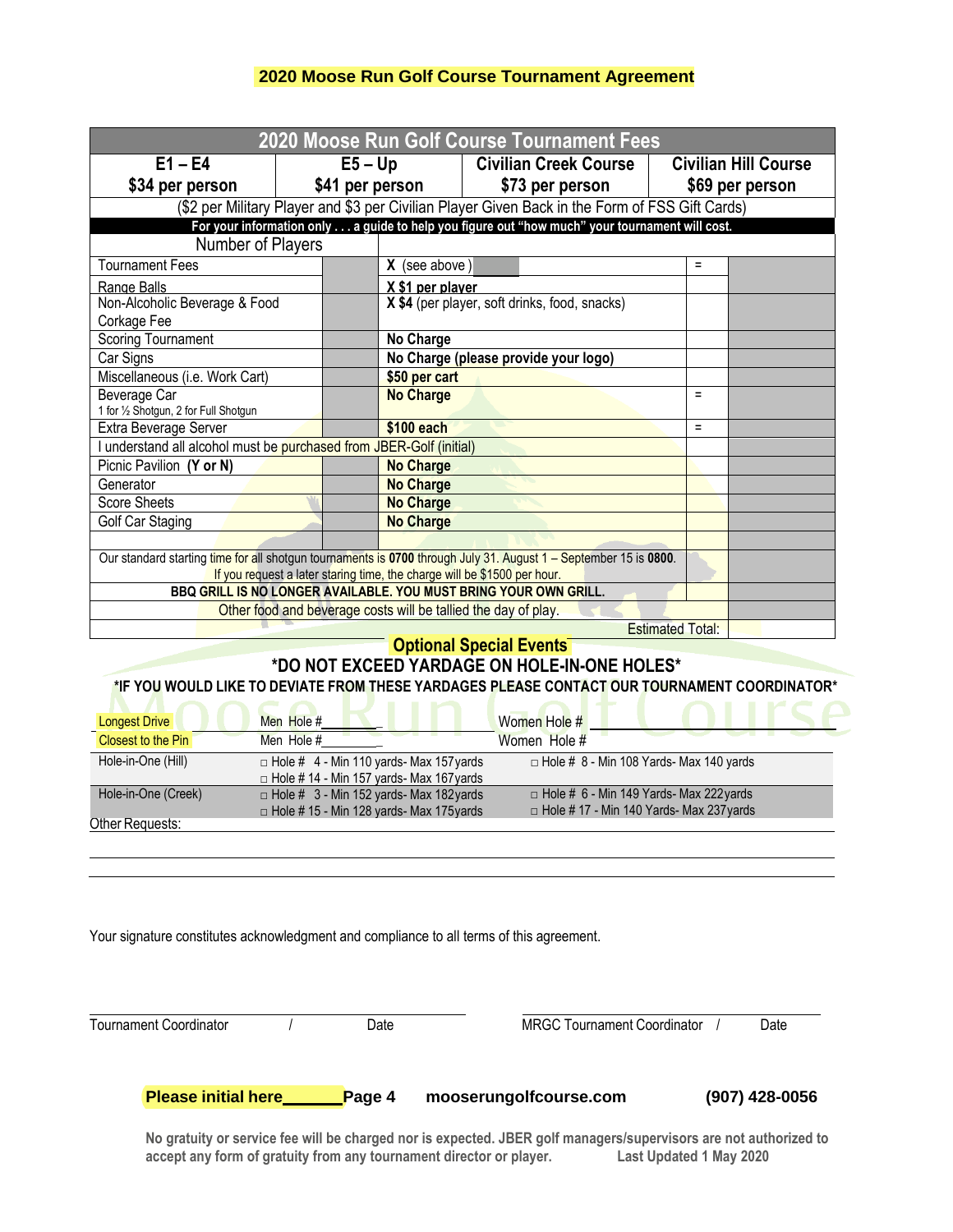| 2020 Moose Run Golf Course Tournament Fees                                                                       |                                                                                                                                    |                                      |                              |                                                                                                |                         |                             |  |  |
|------------------------------------------------------------------------------------------------------------------|------------------------------------------------------------------------------------------------------------------------------------|--------------------------------------|------------------------------|------------------------------------------------------------------------------------------------|-------------------------|-----------------------------|--|--|
| $E1 - E4$                                                                                                        | $E5 - Up$                                                                                                                          |                                      | <b>Civilian Creek Course</b> |                                                                                                |                         | <b>Civilian Hill Course</b> |  |  |
| \$34 per person                                                                                                  | \$41 per person                                                                                                                    |                                      | \$73 per person              |                                                                                                |                         | \$69 per person             |  |  |
| (\$2 per Military Player and \$3 per Civilian Player Given Back in the Form of FSS Gift Cards)                   |                                                                                                                                    |                                      |                              |                                                                                                |                         |                             |  |  |
|                                                                                                                  |                                                                                                                                    |                                      |                              | For your information only a guide to help you figure out "how much" your tournament will cost. |                         |                             |  |  |
| Number of Players                                                                                                |                                                                                                                                    |                                      |                              |                                                                                                |                         |                             |  |  |
| <b>Tournament Fees</b>                                                                                           |                                                                                                                                    | $X$ (see above)                      |                              |                                                                                                | $\equiv$                |                             |  |  |
| Range Balls                                                                                                      |                                                                                                                                    | X \$1 per player                     |                              |                                                                                                |                         |                             |  |  |
| Non-Alcoholic Beverage & Food                                                                                    |                                                                                                                                    |                                      |                              | X \$4 (per player, soft drinks, food, snacks)                                                  |                         |                             |  |  |
| Corkage Fee                                                                                                      |                                                                                                                                    |                                      |                              |                                                                                                |                         |                             |  |  |
| Scoring Tournament                                                                                               |                                                                                                                                    | No Charge                            |                              |                                                                                                |                         |                             |  |  |
| Car Signs                                                                                                        |                                                                                                                                    | No Charge (please provide your logo) |                              |                                                                                                |                         |                             |  |  |
| Miscellaneous (i.e. Work Cart)                                                                                   |                                                                                                                                    | \$50 per cart                        |                              |                                                                                                |                         |                             |  |  |
| Beverage Car                                                                                                     |                                                                                                                                    | <b>No Charge</b>                     |                              |                                                                                                | $=$                     |                             |  |  |
| 1 for 1/2 Shotgun, 2 for Full Shotgun                                                                            |                                                                                                                                    |                                      |                              |                                                                                                |                         |                             |  |  |
| Extra Beverage Server                                                                                            |                                                                                                                                    | \$100 each                           |                              |                                                                                                | $=$                     |                             |  |  |
| I understand all alcohol must be purchased from JBER-Golf (initial)                                              |                                                                                                                                    |                                      |                              |                                                                                                |                         |                             |  |  |
| Picnic Pavilion (Y or N)                                                                                         |                                                                                                                                    | <b>No Charge</b>                     |                              |                                                                                                |                         |                             |  |  |
| Generator                                                                                                        |                                                                                                                                    | <b>No Charge</b>                     |                              |                                                                                                |                         |                             |  |  |
| <b>Score Sheets</b>                                                                                              |                                                                                                                                    | <b>No Charge</b>                     |                              |                                                                                                |                         |                             |  |  |
| Golf Car Staging                                                                                                 |                                                                                                                                    | <b>No Charge</b>                     |                              |                                                                                                |                         |                             |  |  |
|                                                                                                                  |                                                                                                                                    |                                      |                              |                                                                                                |                         |                             |  |  |
| Our standard starting time for all shotgun tournaments is 0700 through July 31. August 1 - September 15 is 0800. |                                                                                                                                    |                                      |                              |                                                                                                |                         |                             |  |  |
| If you request a later staring time, the charge will be \$1500 per hour.                                         |                                                                                                                                    |                                      |                              |                                                                                                |                         |                             |  |  |
|                                                                                                                  | BBQ GRILL IS NO LONGER AVAILABLE. YOU MUST BRING YOUR OWN GRILL.<br>Other food and beverage costs will be tallied the day of play. |                                      |                              |                                                                                                |                         |                             |  |  |
|                                                                                                                  |                                                                                                                                    |                                      |                              |                                                                                                |                         |                             |  |  |
|                                                                                                                  |                                                                                                                                    | <b>Optional Special Events</b>       |                              |                                                                                                | <b>Estimated Total:</b> |                             |  |  |

## **\*DO NOT EXCEED YARDAGE ON HOLE-IN-ONE HOLES\***

## **\*IF YOU WOULD LIKE TO DEVIATE FROM THESE YARDAGES PLEASE CONTACT OUR TOURNAMENT COORDINATOR\***

| <b>Longest Drive</b> | Men Hole #                                      | Women Hole #                                    |
|----------------------|-------------------------------------------------|-------------------------------------------------|
| Closest to the Pin   | Men Hole #                                      | Women Hole #                                    |
| Hole-in-One (Hill)   | $\Box$ Hole # 4 - Min 110 yards- Max 157 yards  | $\Box$ Hole # 8 - Min 108 Yards- Max 140 yards  |
|                      | $\Box$ Hole # 14 - Min 157 yards- Max 167 yards |                                                 |
| Hole-in-One (Creek)  | $\Box$ Hole # 3 - Min 152 yards- Max 182 yards  | $\Box$ Hole # 6 - Min 149 Yards- Max 222 yards  |
|                      | $\Box$ Hole # 15 - Min 128 yards- Max 175 yards | $\Box$ Hole # 17 - Min 140 Yards- Max 237 yards |
| Other Requests:      |                                                 |                                                 |

Your signature constitutes acknowledgment and compliance to all terms of this agreement.

| Tournament Coordinator      | Date   | <b>MRGC Tournament Coordinator</b> | Date           |
|-----------------------------|--------|------------------------------------|----------------|
| <b>Please initial here_</b> | Page 4 | mooserungolfcourse.com             | (907) 428-0056 |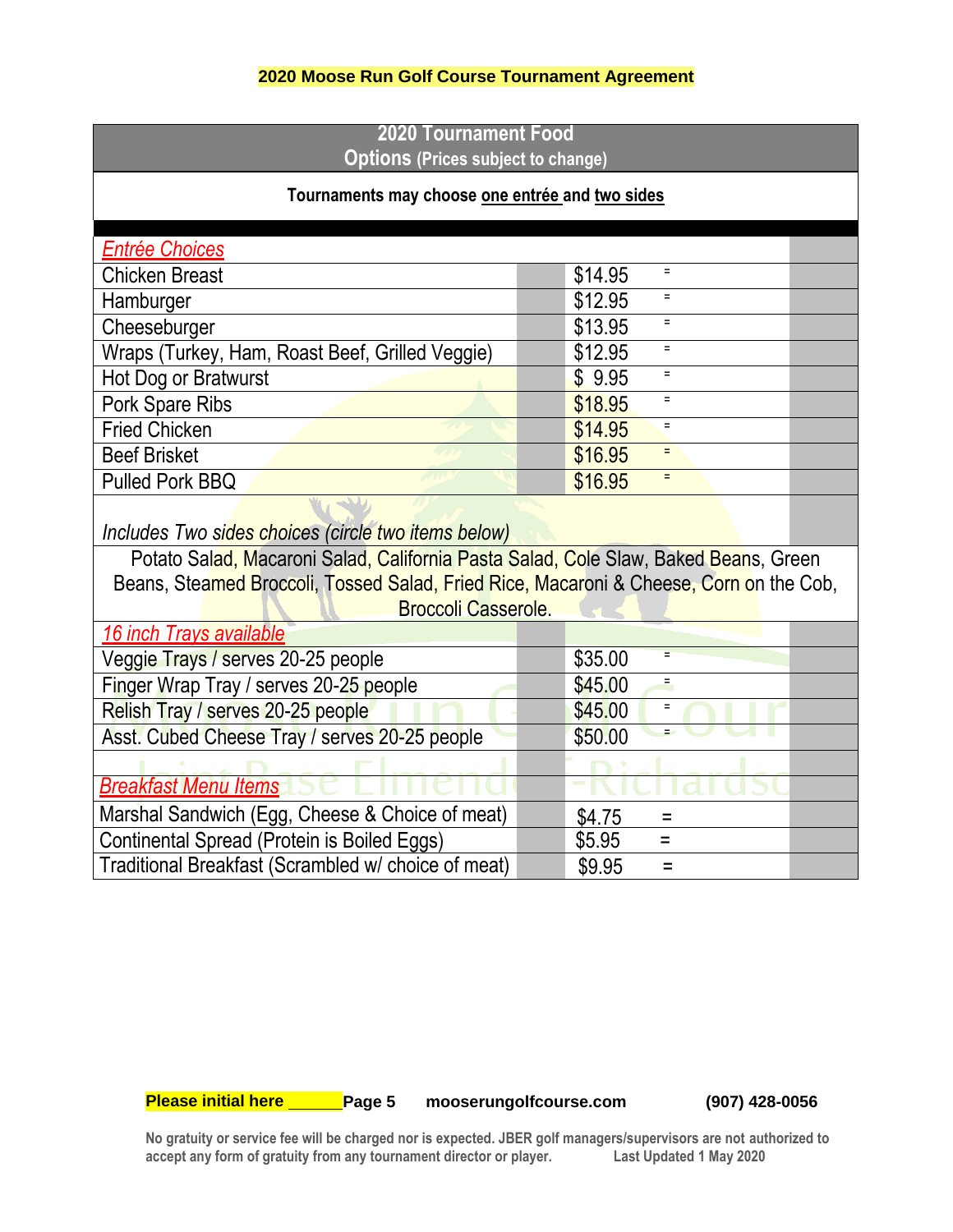| <b>2020 Tournament Food</b><br><b>Options (Prices subject to change)</b>                                             |                     |  |  |  |  |  |  |  |
|----------------------------------------------------------------------------------------------------------------------|---------------------|--|--|--|--|--|--|--|
| Tournaments may choose one entrée and two sides                                                                      |                     |  |  |  |  |  |  |  |
| <b>Entrée Choices</b>                                                                                                |                     |  |  |  |  |  |  |  |
| <b>Chicken Breast</b>                                                                                                | \$14.95<br>$\equiv$ |  |  |  |  |  |  |  |
| Hamburger                                                                                                            | $\equiv$<br>\$12.95 |  |  |  |  |  |  |  |
| Cheeseburger                                                                                                         | $\equiv$<br>\$13.95 |  |  |  |  |  |  |  |
| Wraps (Turkey, Ham, Roast Beef, Grilled Veggie)                                                                      | $=$<br>\$12.95      |  |  |  |  |  |  |  |
| Hot Dog or Bratwurst                                                                                                 | \$9.95<br>$\equiv$  |  |  |  |  |  |  |  |
| Pork Spare Ribs                                                                                                      | $=$<br>\$18.95      |  |  |  |  |  |  |  |
| <b>Fried Chicken</b>                                                                                                 | \$14.95<br>Ξ        |  |  |  |  |  |  |  |
| <b>Beef Brisket</b>                                                                                                  | $\equiv$<br>\$16.95 |  |  |  |  |  |  |  |
| <b>Pulled Pork BBQ</b>                                                                                               | \$16.95<br>$\equiv$ |  |  |  |  |  |  |  |
| Includes Two sides choices (circle two items below)                                                                  |                     |  |  |  |  |  |  |  |
| Potato Salad, Macaroni Salad, California Pasta Salad, Cole Slaw, Baked Beans, Green                                  |                     |  |  |  |  |  |  |  |
| Beans, Steamed Broccoli, Tossed Salad, Fried Rice, Macaroni & Cheese, Corn on the Cob,<br><b>Broccoli Casserole.</b> |                     |  |  |  |  |  |  |  |
| 16 inch Trays available                                                                                              |                     |  |  |  |  |  |  |  |
| Veggie Trays / serves 20-25 people                                                                                   | Ξ<br>\$35.00        |  |  |  |  |  |  |  |
| Finger Wrap Tray / serves 20-25 people                                                                               | \$45.00<br>$\equiv$ |  |  |  |  |  |  |  |
| Relish Tray / serves 20-25 people                                                                                    | \$45.00<br>$\equiv$ |  |  |  |  |  |  |  |
| Asst. Cubed Cheese Tray / serves 20-25 people                                                                        | \$50.00             |  |  |  |  |  |  |  |
|                                                                                                                      |                     |  |  |  |  |  |  |  |
| <b>Breakfast Menu Items</b>                                                                                          |                     |  |  |  |  |  |  |  |
| Marshal Sandwich (Egg, Cheese & Choice of meat)                                                                      | \$4.75<br>$\equiv$  |  |  |  |  |  |  |  |
| Continental Spread (Protein is Boiled Eggs)                                                                          | \$5.95<br>$=$       |  |  |  |  |  |  |  |
| Traditional Breakfast (Scrambled w/ choice of meat)                                                                  | \$9.95<br>Ξ         |  |  |  |  |  |  |  |

**Please initial here**

**Page 5 mooserungolfcourse.com (907) 428-0056**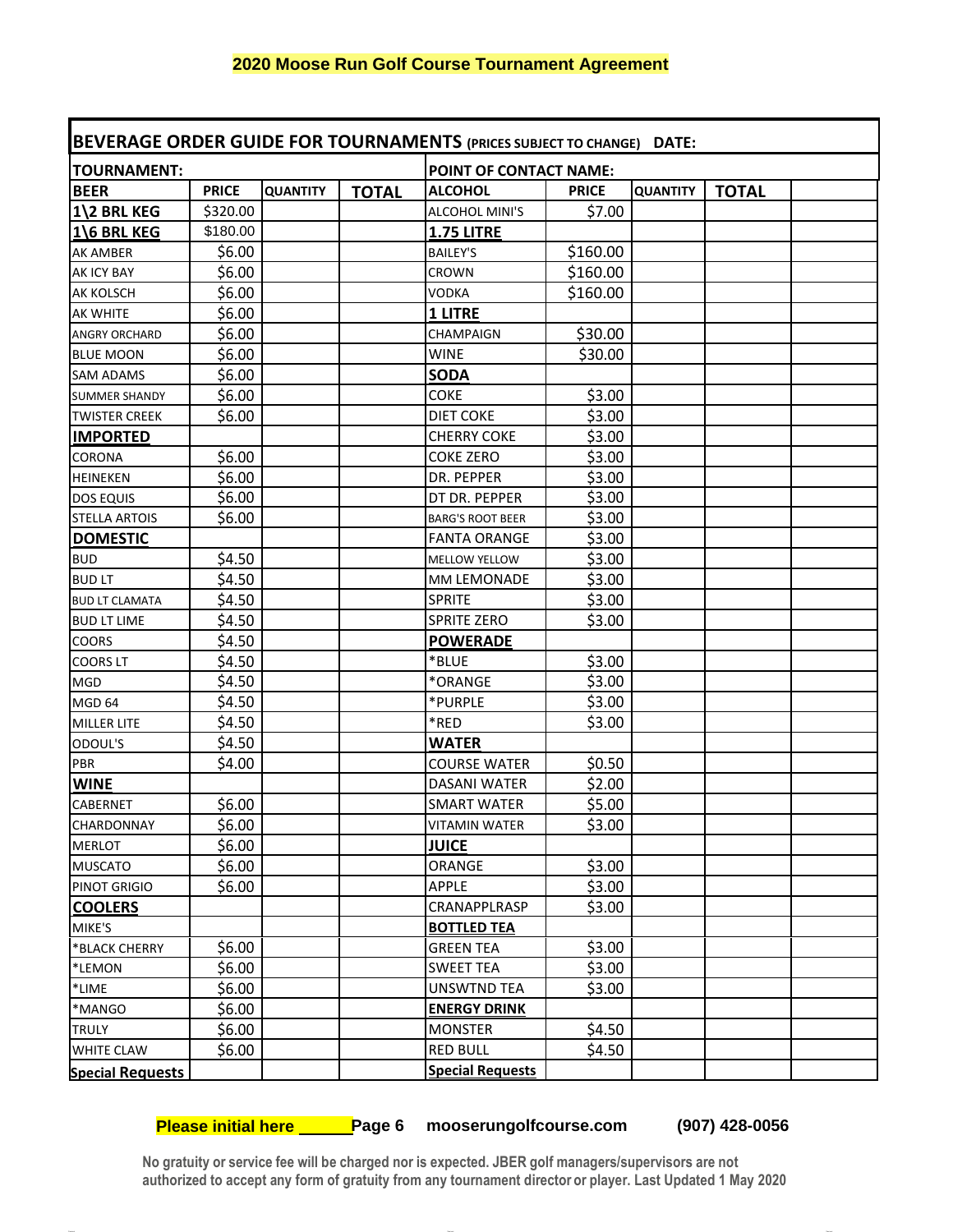| <b>BEVERAGE ORDER GUIDE FOR TOURNAMENTS (PRICES SUBJECT TO CHANGE) DATE:</b> |              |                 |                        |                         |              |                 |              |  |
|------------------------------------------------------------------------------|--------------|-----------------|------------------------|-------------------------|--------------|-----------------|--------------|--|
| <b>TOURNAMENT:</b>                                                           |              |                 | POINT OF CONTACT NAME: |                         |              |                 |              |  |
| <b>BEER</b>                                                                  | <b>PRICE</b> | <b>QUANTITY</b> | <b>TOTAL</b>           | <b>ALCOHOL</b>          | <b>PRICE</b> | <b>QUANTITY</b> | <b>TOTAL</b> |  |
| 1\2 BRL KEG                                                                  | \$320.00     |                 |                        | ALCOHOL MINI'S          | \$7.00       |                 |              |  |
| 1\6 BRL KEG                                                                  | \$180.00     |                 |                        | <b>1.75 LITRE</b>       |              |                 |              |  |
| <b>AK AMBER</b>                                                              | \$6.00       |                 |                        | <b>BAILEY'S</b>         | \$160.00     |                 |              |  |
| AK ICY BAY                                                                   | \$6.00       |                 |                        | CROWN                   | \$160.00     |                 |              |  |
| <b>AK KOLSCH</b>                                                             | \$6.00       |                 |                        | VODKA                   | \$160.00     |                 |              |  |
| AK WHITE                                                                     | \$6.00       |                 |                        | <b>1 LITRE</b>          |              |                 |              |  |
| <b>ANGRY ORCHARD</b>                                                         | \$6.00       |                 |                        | CHAMPAIGN               | \$30.00      |                 |              |  |
| <b>BLUE MOON</b>                                                             | \$6.00       |                 |                        | <b>WINE</b>             | \$30.00      |                 |              |  |
| <b>SAM ADAMS</b>                                                             | \$6.00       |                 |                        | <b>SODA</b>             |              |                 |              |  |
| <b>SUMMER SHANDY</b>                                                         | \$6.00       |                 |                        | <b>COKE</b>             | \$3.00       |                 |              |  |
| <b>TWISTER CREEK</b>                                                         | \$6.00       |                 |                        | <b>DIET COKE</b>        | \$3.00       |                 |              |  |
| <b>IMPORTED</b>                                                              |              |                 |                        | <b>CHERRY COKE</b>      | \$3.00       |                 |              |  |
| <b>CORONA</b>                                                                | \$6.00       |                 |                        | <b>COKE ZERO</b>        | \$3.00       |                 |              |  |
| <b>HEINEKEN</b>                                                              | \$6.00       |                 |                        | DR. PEPPER              | \$3.00       |                 |              |  |
| <b>DOS EQUIS</b>                                                             | \$6.00       |                 |                        | DT DR. PEPPER           | \$3.00       |                 |              |  |
| <b>STELLA ARTOIS</b>                                                         | \$6.00       |                 |                        | <b>BARG'S ROOT BEER</b> | \$3.00       |                 |              |  |
| <b>DOMESTIC</b>                                                              |              |                 |                        | <b>FANTA ORANGE</b>     | \$3.00       |                 |              |  |
| <b>BUD</b>                                                                   | \$4.50       |                 |                        | <b>MELLOW YELLOW</b>    | \$3.00       |                 |              |  |
| <b>BUDLT</b>                                                                 | \$4.50       |                 |                        | MM LEMONADE             | \$3.00       |                 |              |  |
| <b>BUD LT CLAMATA</b>                                                        | \$4.50       |                 |                        | <b>SPRITE</b>           | \$3.00       |                 |              |  |
| <b>BUD LT LIME</b>                                                           | \$4.50       |                 |                        | SPRITE ZERO             | \$3.00       |                 |              |  |
| <b>COORS</b>                                                                 | \$4.50       |                 |                        | <b>POWERADE</b>         |              |                 |              |  |
| <b>COORS LT</b>                                                              | \$4.50       |                 |                        | *BLUE                   | \$3.00       |                 |              |  |
| <b>MGD</b>                                                                   | \$4.50       |                 |                        | *ORANGE                 | \$3.00       |                 |              |  |
| MGD <sub>64</sub>                                                            | \$4.50       |                 |                        | *PURPLE                 | \$3.00       |                 |              |  |
| <b>MILLER LITE</b>                                                           | \$4.50       |                 |                        | $*$ RED                 | \$3.00       |                 |              |  |
| ODOUL'S                                                                      | \$4.50       |                 |                        | <b>WATER</b>            |              |                 |              |  |
| PBR                                                                          | \$4.00       |                 |                        | <b>COURSE WATER</b>     | \$0.50       |                 |              |  |
| <b>WINE</b>                                                                  |              |                 |                        | <b>DASANI WATER</b>     | \$2.00       |                 |              |  |
| <b>CABERNET</b>                                                              | \$6.00       |                 |                        | <b>SMART WATER</b>      | \$5.00       |                 |              |  |
| CHARDONNAY                                                                   | \$6.00       |                 |                        | <b>VITAMIN WATER</b>    | \$3.00       |                 |              |  |
| <b>MERLOT</b>                                                                | \$6.00       |                 |                        | <b>JUICE</b>            |              |                 |              |  |
| <b>MUSCATO</b>                                                               | \$6.00       |                 |                        | ORANGE                  | \$3.00       |                 |              |  |
| PINOT GRIGIO                                                                 | \$6.00       |                 |                        | <b>APPLE</b>            | \$3.00       |                 |              |  |
| <b>COOLERS</b>                                                               |              |                 |                        | CRANAPPLRASP            | \$3.00       |                 |              |  |
| MIKE'S                                                                       |              |                 |                        | <b>BOTTLED TEA</b>      |              |                 |              |  |
| *BLACK CHERRY                                                                | \$6.00       |                 |                        | <b>GREEN TEA</b>        | \$3.00       |                 |              |  |
| *LEMON                                                                       | \$6.00       |                 |                        | <b>SWEET TEA</b>        | \$3.00       |                 |              |  |
| *LIME                                                                        | \$6.00       |                 |                        | <b>UNSWTND TEA</b>      | \$3.00       |                 |              |  |
| *MANGO                                                                       | \$6.00       |                 |                        | <b>ENERGY DRINK</b>     |              |                 |              |  |
| <b>TRULY</b>                                                                 | \$6.00       |                 |                        | <b>MONSTER</b>          | \$4.50       |                 |              |  |
| <b>WHITE CLAW</b>                                                            | \$6.00       |                 |                        | <b>RED BULL</b>         | \$4.50       |                 |              |  |
| <b>Special Requests</b>                                                      |              |                 |                        | <b>Special Requests</b> |              |                 |              |  |

**Please initial here \_\_\_\_\_Page 6 mooserungolfcourse.com (907) 428-0056** 

**No gratuity or service fee will be charged nor is expected. JBER golf managers/supervisors are not authorized to accept any form of gratuity from any tournament director or player. Last Updated 1 May 2020**

 $\frac{1}{2}$